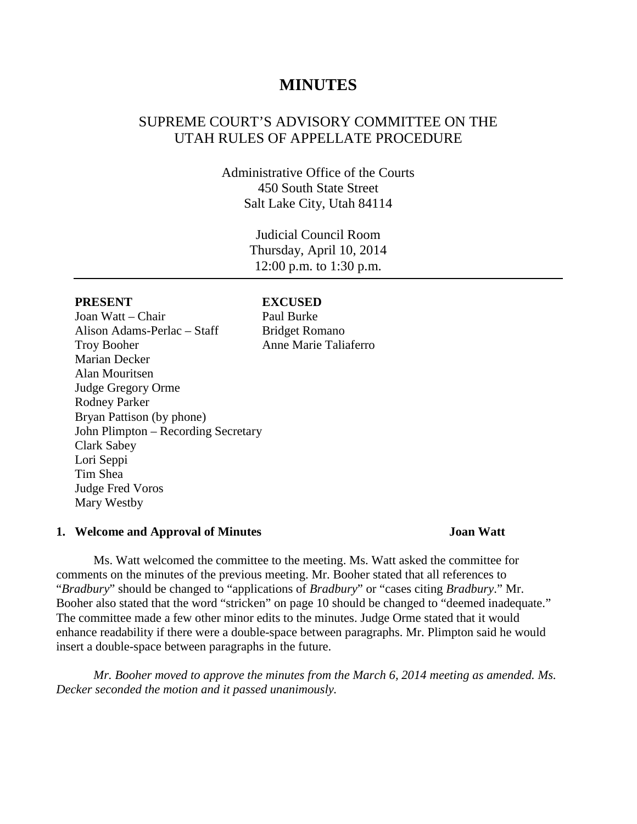# **MINUTES**

# SUPREME COURT'S ADVISORY COMMITTEE ON THE UTAH RULES OF APPELLATE PROCEDURE

Administrative Office of the Courts 450 South State Street Salt Lake City, Utah 84114

> Judicial Council Room Thursday, April 10, 2014 12:00 p.m. to 1:30 p.m.

Joan Watt – Chair Paul Burke Alison Adams-Perlac – Staff Bridget Romano Troy Booher **Anne Marie Taliaferro** Marian Decker Alan Mouritsen Judge Gregory Orme Rodney Parker Bryan Pattison (by phone) John Plimpton – Recording Secretary Clark Sabey Lori Seppi Tim Shea Judge Fred Voros Mary Westby

### **PRESENT EXCUSED**

### **1. Welcome and Approval of Minutes Joan Watt**

Ms. Watt welcomed the committee to the meeting. Ms. Watt asked the committee for comments on the minutes of the previous meeting. Mr. Booher stated that all references to "*Bradbury*" should be changed to "applications of *Bradbury*" or "cases citing *Bradbury*." Mr. Booher also stated that the word "stricken" on page 10 should be changed to "deemed inadequate." The committee made a few other minor edits to the minutes. Judge Orme stated that it would enhance readability if there were a double-space between paragraphs. Mr. Plimpton said he would insert a double-space between paragraphs in the future.

*Mr. Booher moved to approve the minutes from the March 6, 2014 meeting as amended. Ms. Decker seconded the motion and it passed unanimously.*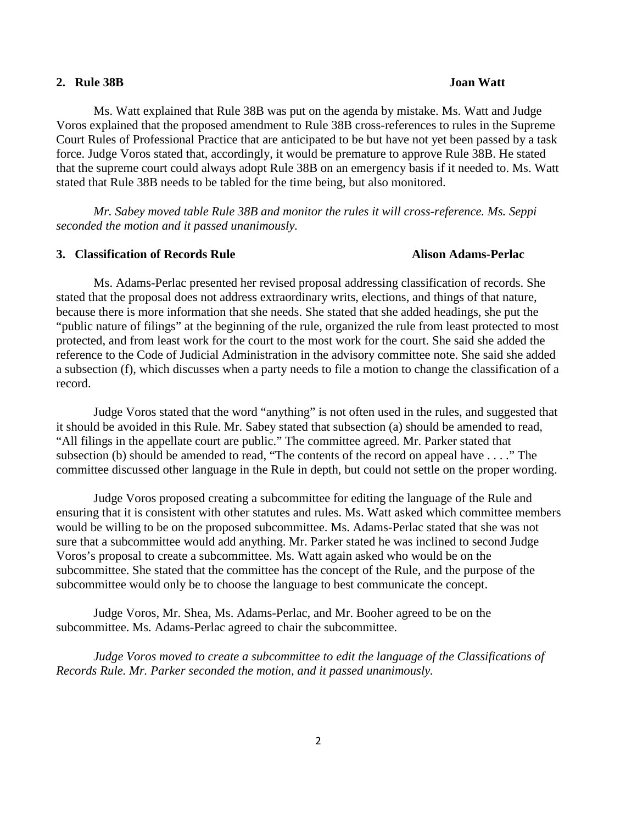### **2. Rule 38B Joan Watt**

# Ms. Watt explained that Rule 38B was put on the agenda by mistake. Ms. Watt and Judge Voros explained that the proposed amendment to Rule 38B cross-references to rules in the Supreme Court Rules of Professional Practice that are anticipated to be but have not yet been passed by a task force. Judge Voros stated that, accordingly, it would be premature to approve Rule 38B. He stated that the supreme court could always adopt Rule 38B on an emergency basis if it needed to. Ms. Watt stated that Rule 38B needs to be tabled for the time being, but also monitored.

*Mr. Sabey moved table Rule 38B and monitor the rules it will cross-reference. Ms. Seppi seconded the motion and it passed unanimously.*

### **3. Classification of Records Rule Alison Adams-Perlac**

Ms. Adams-Perlac presented her revised proposal addressing classification of records. She stated that the proposal does not address extraordinary writs, elections, and things of that nature, because there is more information that she needs. She stated that she added headings, she put the "public nature of filings" at the beginning of the rule, organized the rule from least protected to most protected, and from least work for the court to the most work for the court. She said she added the reference to the Code of Judicial Administration in the advisory committee note. She said she added a subsection (f), which discusses when a party needs to file a motion to change the classification of a record.

Judge Voros stated that the word "anything" is not often used in the rules, and suggested that it should be avoided in this Rule. Mr. Sabey stated that subsection (a) should be amended to read, "All filings in the appellate court are public." The committee agreed. Mr. Parker stated that subsection (b) should be amended to read, "The contents of the record on appeal have . . . ." The committee discussed other language in the Rule in depth, but could not settle on the proper wording.

Judge Voros proposed creating a subcommittee for editing the language of the Rule and ensuring that it is consistent with other statutes and rules. Ms. Watt asked which committee members would be willing to be on the proposed subcommittee. Ms. Adams-Perlac stated that she was not sure that a subcommittee would add anything. Mr. Parker stated he was inclined to second Judge Voros's proposal to create a subcommittee. Ms. Watt again asked who would be on the subcommittee. She stated that the committee has the concept of the Rule, and the purpose of the subcommittee would only be to choose the language to best communicate the concept.

Judge Voros, Mr. Shea, Ms. Adams-Perlac, and Mr. Booher agreed to be on the subcommittee. Ms. Adams-Perlac agreed to chair the subcommittee.

*Judge Voros moved to create a subcommittee to edit the language of the Classifications of Records Rule. Mr. Parker seconded the motion, and it passed unanimously.*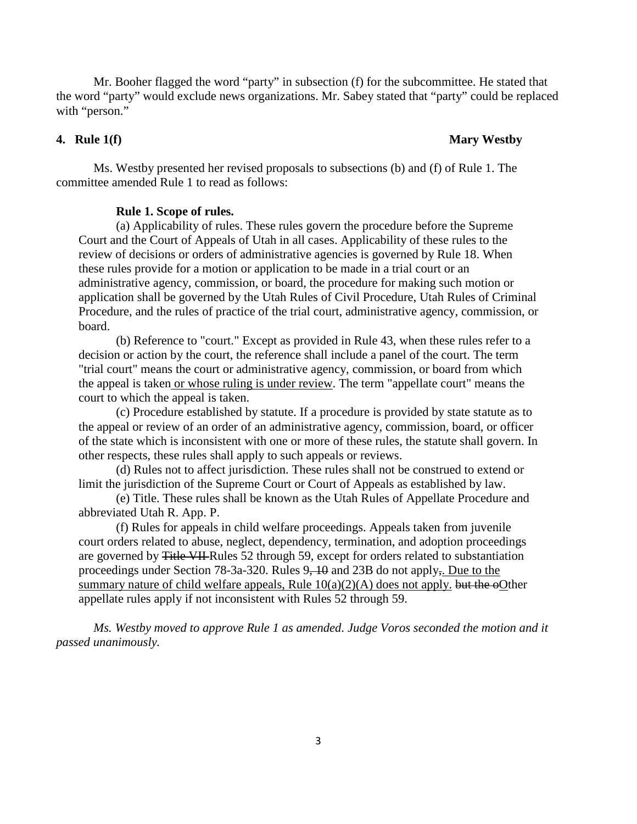Mr. Booher flagged the word "party" in subsection (f) for the subcommittee. He stated that the word "party" would exclude news organizations. Mr. Sabey stated that "party" could be replaced with "person."

### **4. Rule 1(f) Mary Westby**

Ms. Westby presented her revised proposals to subsections (b) and (f) of Rule 1. The committee amended Rule 1 to read as follows:

### **Rule 1. Scope of rules.**

(a) Applicability of rules. These rules govern the procedure before the Supreme Court and the Court of Appeals of Utah in all cases. Applicability of these rules to the review of decisions or orders of administrative agencies is governed by Rule 18. When these rules provide for a motion or application to be made in a trial court or an administrative agency, commission, or board, the procedure for making such motion or application shall be governed by the Utah Rules of Civil Procedure, Utah Rules of Criminal Procedure, and the rules of practice of the trial court, administrative agency, commission, or board.

(b) Reference to "court." Except as provided in Rule 43, when these rules refer to a decision or action by the court, the reference shall include a panel of the court. The term "trial court" means the court or administrative agency, commission, or board from which the appeal is taken or whose ruling is under review. The term "appellate court" means the court to which the appeal is taken.

(c) Procedure established by statute. If a procedure is provided by state statute as to the appeal or review of an order of an administrative agency, commission, board, or officer of the state which is inconsistent with one or more of these rules, the statute shall govern. In other respects, these rules shall apply to such appeals or reviews.

(d) Rules not to affect jurisdiction. These rules shall not be construed to extend or limit the jurisdiction of the Supreme Court or Court of Appeals as established by law.

(e) Title. These rules shall be known as the Utah Rules of Appellate Procedure and abbreviated Utah R. App. P.

(f) Rules for appeals in child welfare proceedings. Appeals taken from juvenile court orders related to abuse, neglect, dependency, termination, and adoption proceedings are governed by Title VII Rules 52 through 59, except for orders related to substantiation proceedings under Section 78-3a-320. Rules 9, 10 and 23B do not apply,. Due to the summary nature of child welfare appeals, Rule  $10(a)(2)(A)$  does not apply. but the oOther appellate rules apply if not inconsistent with Rules 52 through 59.

*Ms. Westby moved to approve Rule 1 as amended. Judge Voros seconded the motion and it passed unanimously.*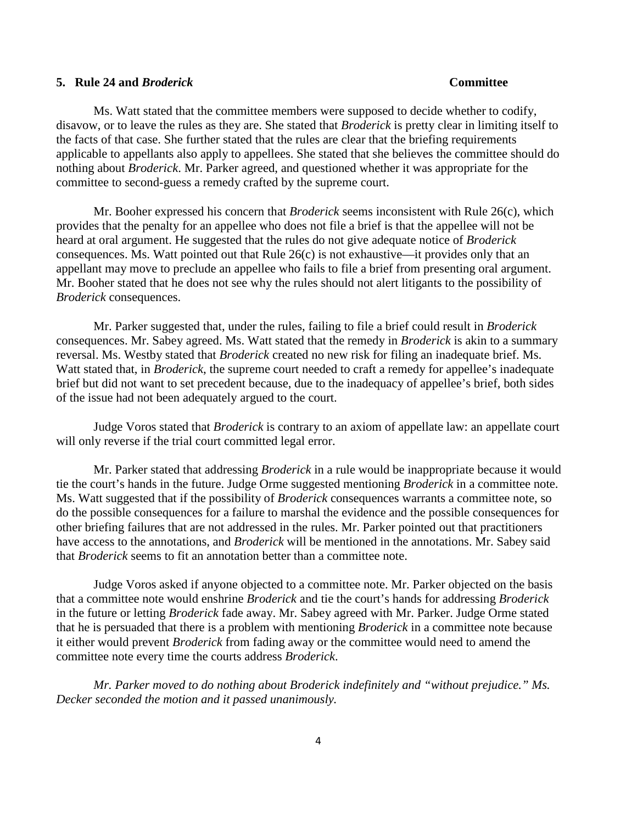### **5. Rule 24 and** *Broderick* **Committee**

Ms. Watt stated that the committee members were supposed to decide whether to codify, disavow, or to leave the rules as they are. She stated that *Broderick* is pretty clear in limiting itself to the facts of that case. She further stated that the rules are clear that the briefing requirements applicable to appellants also apply to appellees. She stated that she believes the committee should do nothing about *Broderick*. Mr. Parker agreed, and questioned whether it was appropriate for the committee to second-guess a remedy crafted by the supreme court.

Mr. Booher expressed his concern that *Broderick* seems inconsistent with Rule 26(c), which provides that the penalty for an appellee who does not file a brief is that the appellee will not be heard at oral argument. He suggested that the rules do not give adequate notice of *Broderick* consequences. Ms. Watt pointed out that Rule 26(c) is not exhaustive—it provides only that an appellant may move to preclude an appellee who fails to file a brief from presenting oral argument. Mr. Booher stated that he does not see why the rules should not alert litigants to the possibility of *Broderick* consequences.

Mr. Parker suggested that, under the rules, failing to file a brief could result in *Broderick* consequences. Mr. Sabey agreed. Ms. Watt stated that the remedy in *Broderick* is akin to a summary reversal. Ms. Westby stated that *Broderick* created no new risk for filing an inadequate brief. Ms. Watt stated that, in *Broderick*, the supreme court needed to craft a remedy for appellee's inadequate brief but did not want to set precedent because, due to the inadequacy of appellee's brief, both sides of the issue had not been adequately argued to the court.

Judge Voros stated that *Broderick* is contrary to an axiom of appellate law: an appellate court will only reverse if the trial court committed legal error.

Mr. Parker stated that addressing *Broderick* in a rule would be inappropriate because it would tie the court's hands in the future. Judge Orme suggested mentioning *Broderick* in a committee note. Ms. Watt suggested that if the possibility of *Broderick* consequences warrants a committee note, so do the possible consequences for a failure to marshal the evidence and the possible consequences for other briefing failures that are not addressed in the rules. Mr. Parker pointed out that practitioners have access to the annotations, and *Broderick* will be mentioned in the annotations. Mr. Sabey said that *Broderick* seems to fit an annotation better than a committee note.

Judge Voros asked if anyone objected to a committee note. Mr. Parker objected on the basis that a committee note would enshrine *Broderick* and tie the court's hands for addressing *Broderick*  in the future or letting *Broderick* fade away. Mr. Sabey agreed with Mr. Parker. Judge Orme stated that he is persuaded that there is a problem with mentioning *Broderick* in a committee note because it either would prevent *Broderick* from fading away or the committee would need to amend the committee note every time the courts address *Broderick*.

*Mr. Parker moved to do nothing about Broderick indefinitely and "without prejudice." Ms. Decker seconded the motion and it passed unanimously.*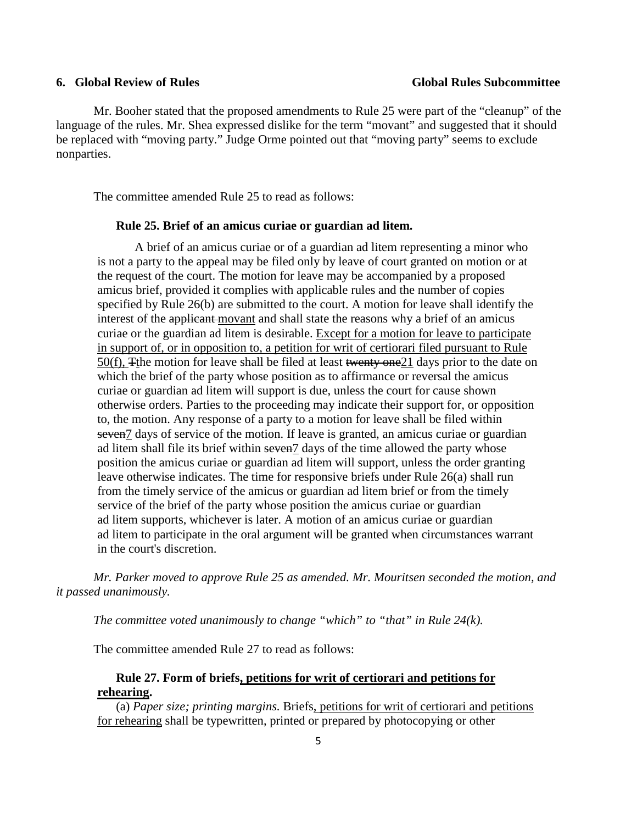Mr. Booher stated that the proposed amendments to Rule 25 were part of the "cleanup" of the language of the rules. Mr. Shea expressed dislike for the term "movant" and suggested that it should be replaced with "moving party." Judge Orme pointed out that "moving party" seems to exclude nonparties.

The committee amended Rule 25 to read as follows:

### **Rule 25. Brief of an amicus curiae or guardian ad litem.**

A brief of an amicus curiae or of a guardian ad litem representing a minor who is not a party to the appeal may be filed only by leave of court granted on motion or at the request of the court. The motion for leave may be accompanied by a proposed amicus brief, provided it complies with applicable rules and the number of copies specified by Rule 26(b) are submitted to the court. A motion for leave shall identify the interest of the applicant movant and shall state the reasons why a brief of an amicus curiae or the guardian ad litem is desirable. Except for a motion for leave to participate in support of, or in opposition to, a petition for writ of certiorari filed pursuant to Rule 50(f), The motion for leave shall be filed at least twenty one 21 days prior to the date on which the brief of the party whose position as to affirmance or reversal the amicus curiae or guardian ad litem will support is due, unless the court for cause shown otherwise orders. Parties to the proceeding may indicate their support for, or opposition to, the motion. Any response of a party to a motion for leave shall be filed within seven7 days of service of the motion. If leave is granted, an amicus curiae or guardian ad litem shall file its brief within seven<sup>7</sup> days of the time allowed the party whose position the amicus curiae or guardian ad litem will support, unless the order granting leave otherwise indicates. The time for responsive briefs under Rule 26(a) shall run from the timely service of the amicus or guardian ad litem brief or from the timely service of the brief of the party whose position the amicus curiae or guardian ad litem supports, whichever is later. A motion of an amicus curiae or guardian ad litem to participate in the oral argument will be granted when circumstances warrant in the court's discretion.

*Mr. Parker moved to approve Rule 25 as amended. Mr. Mouritsen seconded the motion, and it passed unanimously.*

*The committee voted unanimously to change "which" to "that" in Rule 24(k).* 

The committee amended Rule 27 to read as follows:

## **Rule 27. Form of briefs, petitions for writ of certiorari and petitions for rehearing.**

(a) *Paper size; printing margins.* Briefs, petitions for writ of certiorari and petitions for rehearing shall be typewritten, printed or prepared by photocopying or other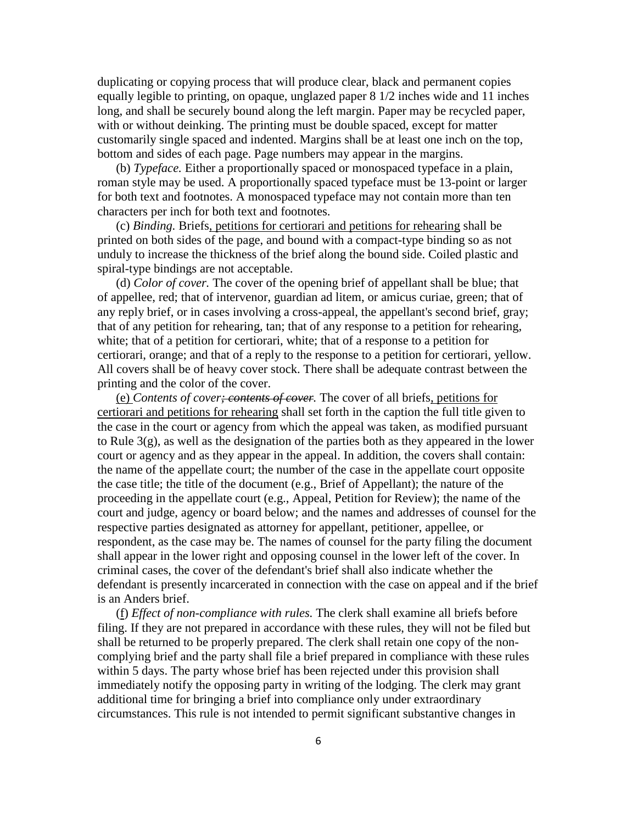duplicating or copying process that will produce clear, black and permanent copies equally legible to printing, on opaque, unglazed paper 8 1/2 inches wide and 11 inches long, and shall be securely bound along the left margin. Paper may be recycled paper, with or without deinking. The printing must be double spaced, except for matter customarily single spaced and indented. Margins shall be at least one inch on the top, bottom and sides of each page. Page numbers may appear in the margins.

(b) *Typeface.* Either a proportionally spaced or monospaced typeface in a plain, roman style may be used. A proportionally spaced typeface must be 13-point or larger for both text and footnotes. A monospaced typeface may not contain more than ten characters per inch for both text and footnotes.

(c) *Binding.* Briefs, petitions for certiorari and petitions for rehearing shall be printed on both sides of the page, and bound with a compact-type binding so as not unduly to increase the thickness of the brief along the bound side. Coiled plastic and spiral-type bindings are not acceptable.

(d) *Color of cover.* The cover of the opening brief of appellant shall be blue; that of appellee, red; that of intervenor, guardian ad litem, or amicus curiae, green; that of any reply brief, or in cases involving a cross-appeal, the appellant's second brief, gray; that of any petition for rehearing, tan; that of any response to a petition for rehearing, white; that of a petition for certiorari, white; that of a response to a petition for certiorari, orange; and that of a reply to the response to a petition for certiorari, yellow. All covers shall be of heavy cover stock. There shall be adequate contrast between the printing and the color of the cover.

(e) *Contents of cover; contents of cover.* The cover of all briefs, petitions for certiorari and petitions for rehearing shall set forth in the caption the full title given to the case in the court or agency from which the appeal was taken, as modified pursuant to Rule 3(g), as well as the designation of the parties both as they appeared in the lower court or agency and as they appear in the appeal. In addition, the covers shall contain: the name of the appellate court; the number of the case in the appellate court opposite the case title; the title of the document (e.g., Brief of Appellant); the nature of the proceeding in the appellate court (e.g., Appeal, Petition for Review); the name of the court and judge, agency or board below; and the names and addresses of counsel for the respective parties designated as attorney for appellant, petitioner, appellee, or respondent, as the case may be. The names of counsel for the party filing the document shall appear in the lower right and opposing counsel in the lower left of the cover. In criminal cases, the cover of the defendant's brief shall also indicate whether the defendant is presently incarcerated in connection with the case on appeal and if the brief is an Anders brief.

(f) *Effect of non-compliance with rules.* The clerk shall examine all briefs before filing. If they are not prepared in accordance with these rules, they will not be filed but shall be returned to be properly prepared. The clerk shall retain one copy of the noncomplying brief and the party shall file a brief prepared in compliance with these rules within 5 days. The party whose brief has been rejected under this provision shall immediately notify the opposing party in writing of the lodging. The clerk may grant additional time for bringing a brief into compliance only under extraordinary circumstances. This rule is not intended to permit significant substantive changes in